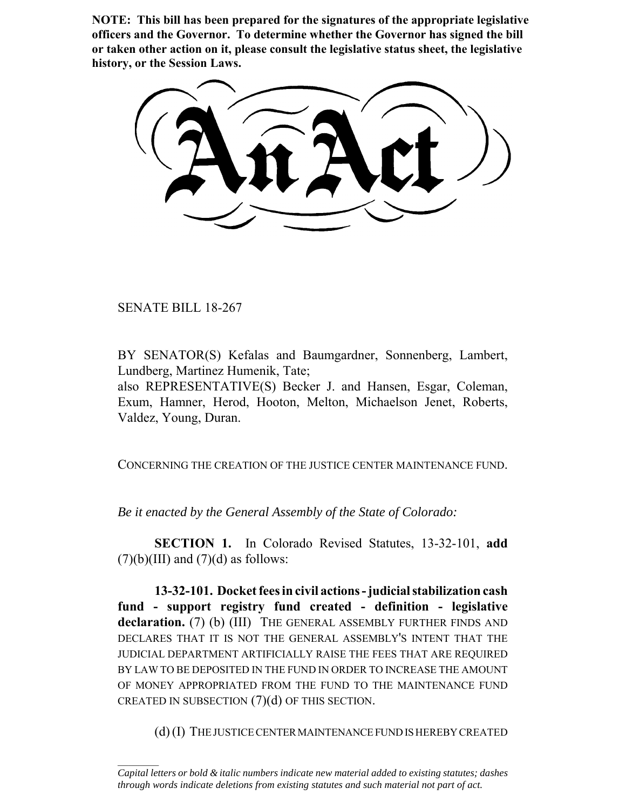**NOTE: This bill has been prepared for the signatures of the appropriate legislative officers and the Governor. To determine whether the Governor has signed the bill or taken other action on it, please consult the legislative status sheet, the legislative history, or the Session Laws.**

SENATE BILL 18-267

 $\frac{1}{2}$ 

BY SENATOR(S) Kefalas and Baumgardner, Sonnenberg, Lambert, Lundberg, Martinez Humenik, Tate;

also REPRESENTATIVE(S) Becker J. and Hansen, Esgar, Coleman, Exum, Hamner, Herod, Hooton, Melton, Michaelson Jenet, Roberts, Valdez, Young, Duran.

CONCERNING THE CREATION OF THE JUSTICE CENTER MAINTENANCE FUND.

*Be it enacted by the General Assembly of the State of Colorado:*

**SECTION 1.** In Colorado Revised Statutes, 13-32-101, **add**  $(7)(b)(III)$  and  $(7)(d)$  as follows:

**13-32-101. Docket fees in civil actions - judicial stabilization cash fund - support registry fund created - definition - legislative** declaration. (7) (b) (III) THE GENERAL ASSEMBLY FURTHER FINDS AND DECLARES THAT IT IS NOT THE GENERAL ASSEMBLY'S INTENT THAT THE JUDICIAL DEPARTMENT ARTIFICIALLY RAISE THE FEES THAT ARE REQUIRED BY LAW TO BE DEPOSITED IN THE FUND IN ORDER TO INCREASE THE AMOUNT OF MONEY APPROPRIATED FROM THE FUND TO THE MAINTENANCE FUND CREATED IN SUBSECTION  $(7)(d)$  OF THIS SECTION.

(d) (I) THE JUSTICE CENTER MAINTENANCE FUND IS HEREBY CREATED

*Capital letters or bold & italic numbers indicate new material added to existing statutes; dashes through words indicate deletions from existing statutes and such material not part of act.*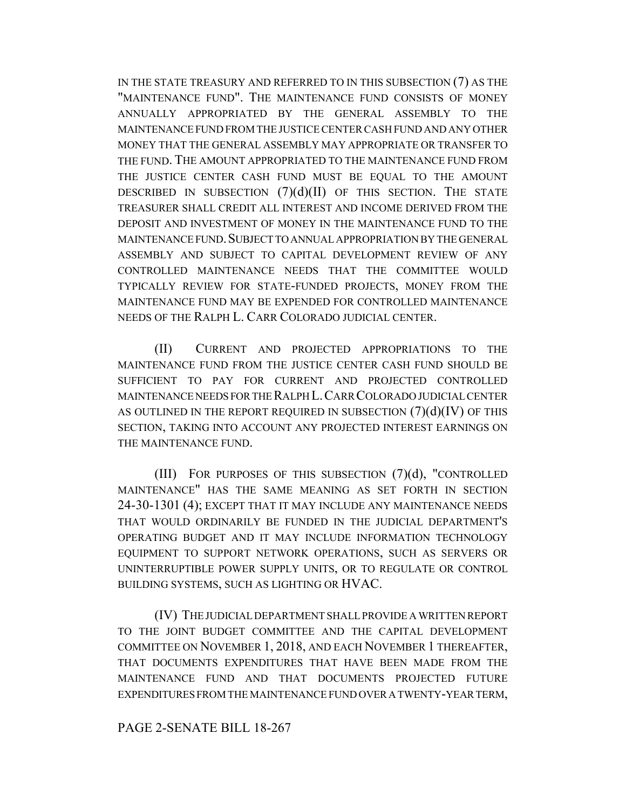IN THE STATE TREASURY AND REFERRED TO IN THIS SUBSECTION (7) AS THE "MAINTENANCE FUND". THE MAINTENANCE FUND CONSISTS OF MONEY ANNUALLY APPROPRIATED BY THE GENERAL ASSEMBLY TO THE MAINTENANCE FUND FROM THE JUSTICE CENTER CASH FUND AND ANY OTHER MONEY THAT THE GENERAL ASSEMBLY MAY APPROPRIATE OR TRANSFER TO THE FUND. THE AMOUNT APPROPRIATED TO THE MAINTENANCE FUND FROM THE JUSTICE CENTER CASH FUND MUST BE EQUAL TO THE AMOUNT DESCRIBED IN SUBSECTION  $(7)(d)(II)$  OF THIS SECTION. THE STATE TREASURER SHALL CREDIT ALL INTEREST AND INCOME DERIVED FROM THE DEPOSIT AND INVESTMENT OF MONEY IN THE MAINTENANCE FUND TO THE MAINTENANCE FUND.SUBJECT TO ANNUAL APPROPRIATION BY THE GENERAL ASSEMBLY AND SUBJECT TO CAPITAL DEVELOPMENT REVIEW OF ANY CONTROLLED MAINTENANCE NEEDS THAT THE COMMITTEE WOULD TYPICALLY REVIEW FOR STATE-FUNDED PROJECTS, MONEY FROM THE MAINTENANCE FUND MAY BE EXPENDED FOR CONTROLLED MAINTENANCE NEEDS OF THE RALPH L. CARR COLORADO JUDICIAL CENTER.

(II) CURRENT AND PROJECTED APPROPRIATIONS TO THE MAINTENANCE FUND FROM THE JUSTICE CENTER CASH FUND SHOULD BE SUFFICIENT TO PAY FOR CURRENT AND PROJECTED CONTROLLED MAINTENANCE NEEDS FOR THE RALPH L.CARR COLORADO JUDICIAL CENTER AS OUTLINED IN THE REPORT REQUIRED IN SUBSECTION  $(7)(d)(IV)$  OF THIS SECTION, TAKING INTO ACCOUNT ANY PROJECTED INTEREST EARNINGS ON THE MAINTENANCE FUND.

(III) FOR PURPOSES OF THIS SUBSECTION (7)(d), "CONTROLLED MAINTENANCE" HAS THE SAME MEANING AS SET FORTH IN SECTION 24-30-1301 (4); EXCEPT THAT IT MAY INCLUDE ANY MAINTENANCE NEEDS THAT WOULD ORDINARILY BE FUNDED IN THE JUDICIAL DEPARTMENT'S OPERATING BUDGET AND IT MAY INCLUDE INFORMATION TECHNOLOGY EQUIPMENT TO SUPPORT NETWORK OPERATIONS, SUCH AS SERVERS OR UNINTERRUPTIBLE POWER SUPPLY UNITS, OR TO REGULATE OR CONTROL BUILDING SYSTEMS, SUCH AS LIGHTING OR HVAC.

(IV) THE JUDICIAL DEPARTMENT SHALL PROVIDE A WRITTEN REPORT TO THE JOINT BUDGET COMMITTEE AND THE CAPITAL DEVELOPMENT COMMITTEE ON NOVEMBER 1, 2018, AND EACH NOVEMBER 1 THEREAFTER, THAT DOCUMENTS EXPENDITURES THAT HAVE BEEN MADE FROM THE MAINTENANCE FUND AND THAT DOCUMENTS PROJECTED FUTURE EXPENDITURES FROM THE MAINTENANCE FUND OVER A TWENTY-YEAR TERM,

## PAGE 2-SENATE BILL 18-267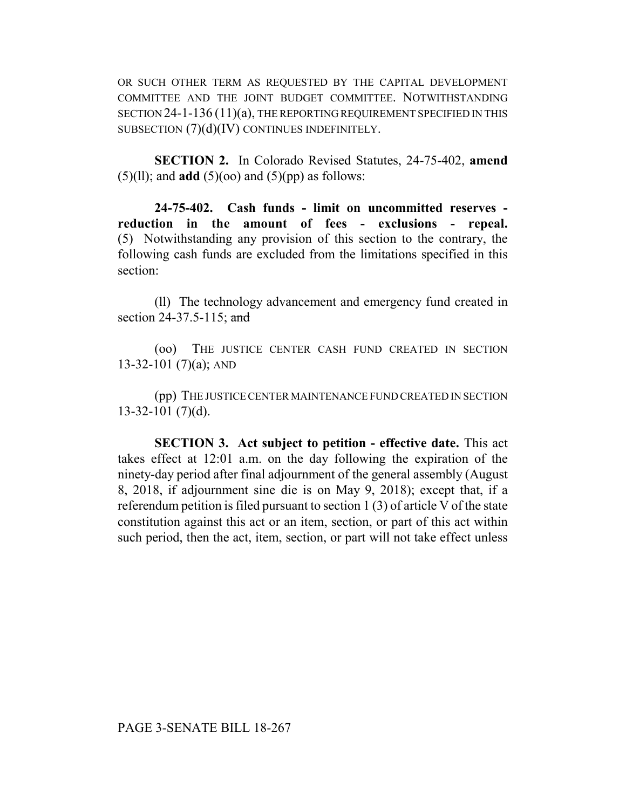OR SUCH OTHER TERM AS REQUESTED BY THE CAPITAL DEVELOPMENT COMMITTEE AND THE JOINT BUDGET COMMITTEE. NOTWITHSTANDING SECTION 24-1-136 (11)(a), THE REPORTING REQUIREMENT SPECIFIED IN THIS SUBSECTION (7)(d)(IV) CONTINUES INDEFINITELY.

**SECTION 2.** In Colorado Revised Statutes, 24-75-402, **amend**  $(5)(11)$ ; and **add**  $(5)(\infty)$  and  $(5)(\infty)$  as follows:

**24-75-402. Cash funds - limit on uncommitted reserves reduction in the amount of fees - exclusions - repeal.** (5) Notwithstanding any provision of this section to the contrary, the following cash funds are excluded from the limitations specified in this section:

(ll) The technology advancement and emergency fund created in section 24-37.5-115; and

(oo) THE JUSTICE CENTER CASH FUND CREATED IN SECTION  $13-32-101$  (7)(a); AND

(pp) THE JUSTICE CENTER MAINTENANCE FUND CREATED IN SECTION 13-32-101 (7)(d).

**SECTION 3. Act subject to petition - effective date.** This act takes effect at 12:01 a.m. on the day following the expiration of the ninety-day period after final adjournment of the general assembly (August 8, 2018, if adjournment sine die is on May 9, 2018); except that, if a referendum petition is filed pursuant to section 1 (3) of article V of the state constitution against this act or an item, section, or part of this act within such period, then the act, item, section, or part will not take effect unless